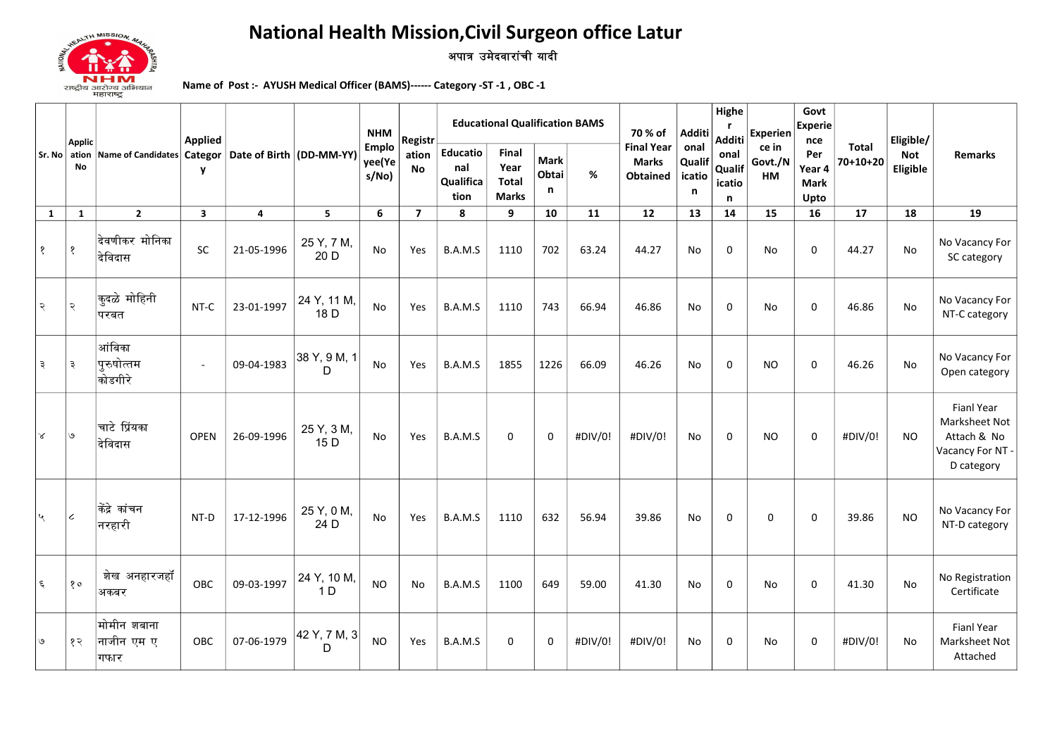

## **National Health Mission, Civil Surgeon office Latur** अपात्र उमेदवारांची यादी

Name of Post :- AYUSH Medical Officer (BAMS)------ Category -ST -1, OBC -1

| Sr. No        |                              | Name of Candidates Categor   Date of Birth   (DD-MM-YY) | <b>Applied</b><br>$\mathbf{v}$ |            |                               | <b>NHM</b>                     | Registr            | <b>Educational Qualification BAMS</b> |                                               |                           |         |                                               | 70 % of<br>Additi                        |                                         | Experien                      | Govt<br>Experie<br>nce               |                            | Eligible/              |                                                                                     |  |
|---------------|------------------------------|---------------------------------------------------------|--------------------------------|------------|-------------------------------|--------------------------------|--------------------|---------------------------------------|-----------------------------------------------|---------------------------|---------|-----------------------------------------------|------------------------------------------|-----------------------------------------|-------------------------------|--------------------------------------|----------------------------|------------------------|-------------------------------------------------------------------------------------|--|
|               | <b>Applic</b><br>ation<br>No |                                                         |                                |            |                               | <b>Emplo</b><br>yee(Ye<br>s/No | ation<br><b>No</b> | Educatio<br>nal<br>Qualifica<br>tion  | <b>Final</b><br>Year<br>Total<br><b>Marks</b> | <b>Mark</b><br>Obtai<br>n | %       | <b>Final Year</b><br><b>Marks</b><br>Obtained | onal<br>Qualif<br>icatio<br>$\mathsf{n}$ | Additi<br>onal<br>Qualif<br>icatio<br>n | ce in<br>Govt./N<br><b>HM</b> | Per<br>Year 4<br><b>Mark</b><br>Upto | <b>Total</b><br>$70+10+20$ | <b>Not</b><br>Eligible | Remarks                                                                             |  |
| $\mathbf{1}$  | $\mathbf{1}$                 | $\mathbf{2}$                                            | $\overline{\mathbf{3}}$        | 4          | 5                             | 6                              | $\overline{7}$     | 8                                     | 9                                             | 10                        | 11      | 12                                            | 13                                       | 14                                      | 15                            | 16                                   | 17                         | 18                     | 19                                                                                  |  |
| १             | १                            | देवणीकर मोनिका<br>देविदास                               | SC                             | 21-05-1996 | 25 Y, 7 M,<br>20 D            | <b>No</b>                      | Yes                | B.A.M.S                               | 1110                                          | 702                       | 63.24   | 44.27                                         | No                                       | 0                                       | No                            | 0                                    | 44.27                      | <b>No</b>              | No Vacancy For<br>SC category                                                       |  |
| २             | २                            | <sup>∣</sup> कुदळे मोहिनी<br>परबत                       | NT-C                           | 23-01-1997 | 24 Y, 11 M,<br>18 D           | No                             | Yes                | B.A.M.S                               | 1110                                          | 743                       | 66.94   | 46.86                                         | No                                       | 0                                       | <b>No</b>                     | 0                                    | 46.86                      | <b>No</b>              | No Vacancy For<br>NT-C category                                                     |  |
| ३             | ३                            | आंबिका<br><sup>।</sup> पुरुषोत्तम<br>कोडगीरे            | $\sim$                         | 09-04-1983 | 38 Y, 9 M, 1<br>D             | No                             | Yes                | B.A.M.S                               | 1855                                          | 1226                      | 66.09   | 46.26                                         | <b>No</b>                                | 0                                       | <b>NO</b>                     | $\Omega$                             | 46.26                      | <b>No</b>              | No Vacancy For<br>Open category                                                     |  |
| ∣४            | ی ا                          | चाटे प्रिंयका<br>देविदास                                | <b>OPEN</b>                    | 26-09-1996 | 25 Y, 3 M,<br>15 D            | No                             | Yes                | B.A.M.S                               | $\mathbf 0$                                   | 0                         | #DIV/0! | #DIV/0!                                       | No                                       | 0                                       | <b>NO</b>                     | 0                                    | #DIV/0!                    | <b>NO</b>              | <b>Fianl Year</b><br>Marksheet Not<br>Attach & No<br>Vacancy For NT -<br>D category |  |
| $\mathcal{A}$ | $\boldsymbol{\mathcal{L}}$   | किंद्रे कांचन<br><sup>।</sup> नरहारी                    | NT-D                           | 17-12-1996 | 25 Y, 0 M,<br>24 D            | <b>No</b>                      | Yes                | B.A.M.S                               | 1110                                          | 632                       | 56.94   | 39.86                                         | <b>No</b>                                | 0                                       | $\mathbf 0$                   | $\mathbf 0$                          | 39.86                      | <b>NO</b>              | No Vacancy For<br>NT-D category                                                     |  |
| ६             | 80                           | शेख अनहारजहॉ<br>अकबर                                    | OBC                            | 09-03-1997 | 24 Y, 10 M,<br>1 <sub>D</sub> | <b>NO</b>                      | No                 | B.A.M.S                               | 1100                                          | 649                       | 59.00   | 41.30                                         | No                                       | 0                                       | No                            | 0                                    | 41.30                      | <b>No</b>              | No Registration<br>Certificate                                                      |  |
| ی             | १२                           | मोमीन शबाना<br>नाजीन एम ए<br>गफार                       | OBC                            | 07-06-1979 | 42 Y, 7 M, 3<br>D             | <b>NO</b>                      | Yes                | B.A.M.S                               | 0                                             | $\Omega$                  | #DIV/0! | #DIV/0!                                       | No                                       | 0                                       | No                            | 0                                    | #DIV/0!                    | No                     | <b>Fianl Year</b><br>Marksheet Not<br>Attached                                      |  |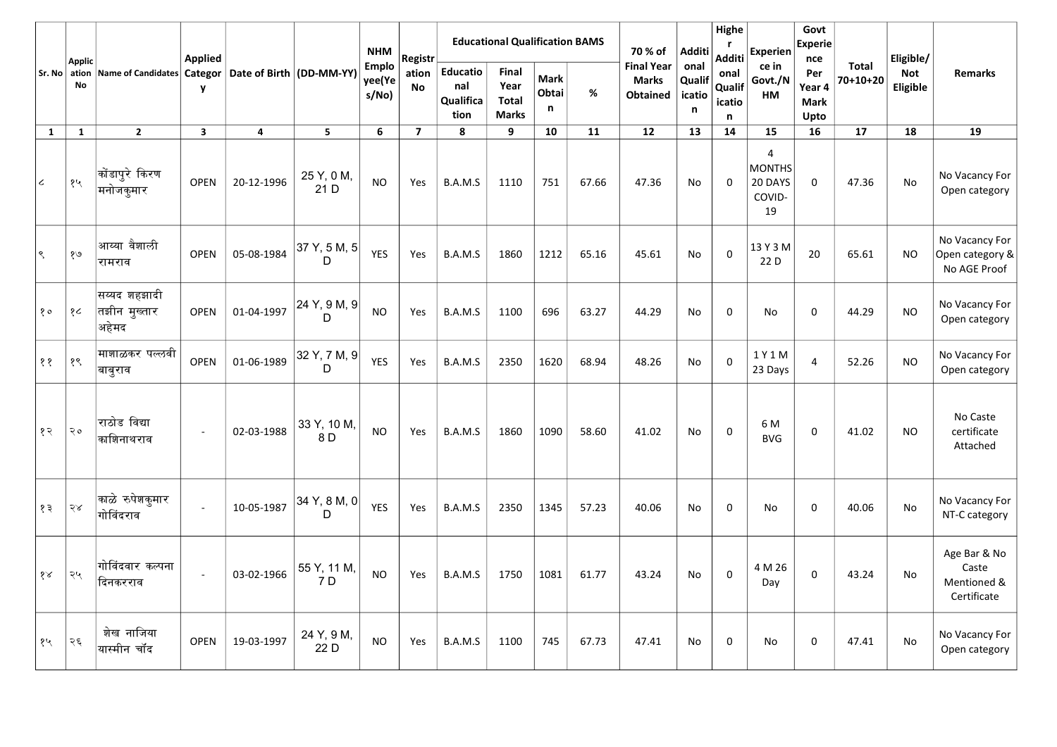|              |                                             |                                                          | <b>Applied</b>          |            |                    |                                 |                    | <b>NHM</b>                                  | Registr                                       |                           | <b>Educational Qualification BAMS</b> |                                                      |                               | 70 % of                       | Additi                                        | Highe<br>r<br><b>Additi</b>          | <b>Experien</b>            | Govt<br>Experie<br>nce |                                                     | Eligible/ |  |
|--------------|---------------------------------------------|----------------------------------------------------------|-------------------------|------------|--------------------|---------------------------------|--------------------|---------------------------------------------|-----------------------------------------------|---------------------------|---------------------------------------|------------------------------------------------------|-------------------------------|-------------------------------|-----------------------------------------------|--------------------------------------|----------------------------|------------------------|-----------------------------------------------------|-----------|--|
|              | <b>Applic</b><br>Sr. No $\vert$ ation<br>No | Name of Candidates  Categor   Date of Birth   (DD-MM-YY) | $\mathbf{y}$            |            |                    | <b>Emplo</b><br>yee(Ye<br>s/No) | ation<br><b>No</b> | <b>Educatio</b><br>nal<br>Qualifica<br>tion | Final<br>Year<br><b>Total</b><br><b>Marks</b> | <b>Mark</b><br>Obtai<br>n | %                                     | <b>Final Year</b><br><b>Marks</b><br><b>Obtained</b> | onal<br>Qualif<br>icatio<br>n | onal<br>Qualif<br>icatio<br>n | ce in<br>Govt./N<br>HM                        | Per<br>Year 4<br><b>Mark</b><br>Upto | <b>Total</b><br>$70+10+20$ | Not<br>Eligible        | <b>Remarks</b>                                      |           |  |
| $\mathbf{1}$ | $\mathbf{1}$                                | $\overline{2}$                                           | $\overline{\mathbf{3}}$ | 4          | $5\phantom{.0}$    | 6                               | $\overline{7}$     | 8                                           | 9                                             | 10                        | 11                                    | 12                                                   | 13                            | 14                            | 15                                            | 16                                   | 17                         | 18                     | 19                                                  |           |  |
| $\epsilon$   | १५                                          | कोंडापुरे किरण<br>∣मनोजकुमार                             | <b>OPEN</b>             | 20-12-1996 | 25 Y, 0 M,<br>21 D | <b>NO</b>                       | Yes                | B.A.M.S                                     | 1110                                          | 751                       | 67.66                                 | 47.36                                                | No                            | $\Omega$                      | 4<br><b>MONTHS</b><br>20 DAYS<br>COVID-<br>19 | 0                                    | 47.36                      | No                     | No Vacancy For<br>Open category                     |           |  |
| $\varsigma$  | १७                                          | आय्या वैशाली<br>रामराव                                   | OPEN                    | 05-08-1984 | 37 Y, 5 M, 5<br>D  | <b>YES</b>                      | Yes                | B.A.M.S                                     | 1860                                          | 1212                      | 65.16                                 | 45.61                                                | No                            | $\mathbf 0$                   | 13 Y 3 M<br>22 D                              | 20                                   | 65.61                      | <b>NO</b>              | No Vacancy For<br>Open category &<br>No AGE Proof   |           |  |
| 80           | १८                                          | सय्यद शहझादी<br>तझीन मुख्तार<br>अहेमद                    | <b>OPEN</b>             | 01-04-1997 | 24 Y, 9 M, 9<br>D  | <b>NO</b>                       | Yes                | B.A.M.S                                     | 1100                                          | 696                       | 63.27                                 | 44.29                                                | No                            | 0                             | No                                            | $\mathbf 0$                          | 44.29                      | <b>NO</b>              | No Vacancy For<br>Open category                     |           |  |
| $\zeta$      | १९                                          | माशाळकर पल्लवी<br>∣बाबुराव                               | OPEN                    | 01-06-1989 | 32 Y, 7 M, 9<br>D  | <b>YES</b>                      | Yes                | B.A.M.S                                     | 2350                                          | 1620                      | 68.94                                 | 48.26                                                | No                            | $\Omega$                      | 1 Y 1 M<br>23 Days                            | 4                                    | 52.26                      | <b>NO</b>              | No Vacancy For<br>Open category                     |           |  |
| १२           | २०                                          | राठोड विद्या<br>काशिनाथराव                               |                         | 02-03-1988 | 33 Y, 10 M,<br>8 D | <b>NO</b>                       | Yes                | B.A.M.S                                     | 1860                                          | 1090                      | 58.60                                 | 41.02                                                | No                            | $\mathbf 0$                   | 6 M<br><b>BVG</b>                             | 0                                    | 41.02                      | <b>NO</b>              | No Caste<br>certificate<br>Attached                 |           |  |
| १३           | २४                                          | काळे रुपेशकुमार<br>गोविंदराव                             | $\sim$                  | 10-05-1987 | 34 Y, 8 M, 0<br>D  | <b>YES</b>                      | Yes                | B.A.M.S                                     | 2350                                          | 1345                      | 57.23                                 | 40.06                                                | No                            | 0                             | No                                            | 0                                    | 40.06                      | No                     | No Vacancy For<br>NT-C category                     |           |  |
| १४           | २५                                          | गोविंदवार कल्पना<br>दिनकरराव                             | $\omega$                | 03-02-1966 | 55 Y, 11 M,<br>7 D | <b>NO</b>                       | Yes                | B.A.M.S                                     | 1750                                          | 1081                      | 61.77                                 | 43.24                                                | No                            | 0                             | 4 M 26<br>Day                                 | 0                                    | 43.24                      | No                     | Age Bar & No<br>Caste<br>Mentioned &<br>Certificate |           |  |
| १५           | २६                                          | शेख नाजिया<br>यास्मीन चॉंद                               | <b>OPEN</b>             | 19-03-1997 | 24 Y, 9 M,<br>22 D | <b>NO</b>                       | Yes                | B.A.M.S                                     | 1100                                          | 745                       | 67.73                                 | 47.41                                                | No                            | 0                             | No                                            | 0                                    | 47.41                      | No                     | No Vacancy For<br>Open category                     |           |  |